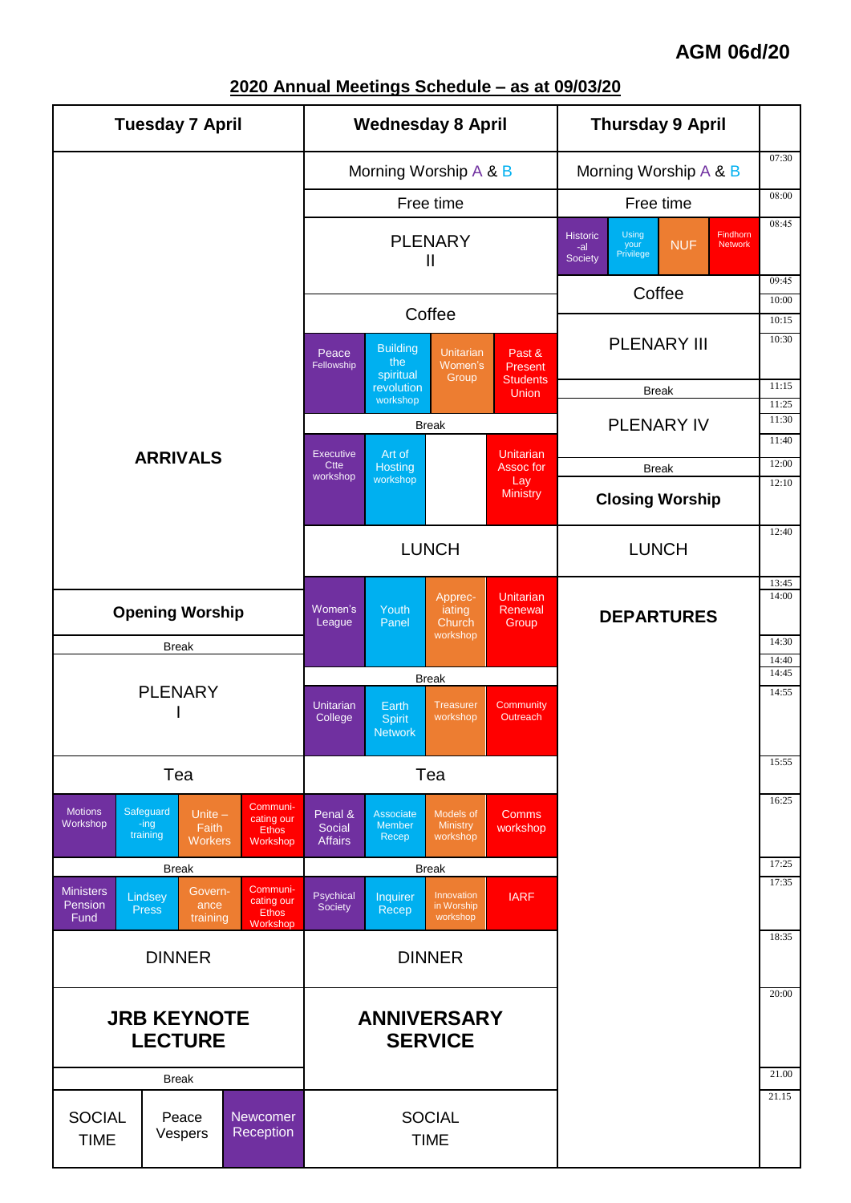### **AGM 06d/20**



#### **2020 Annual Meetings Schedule – as at 09/03/20**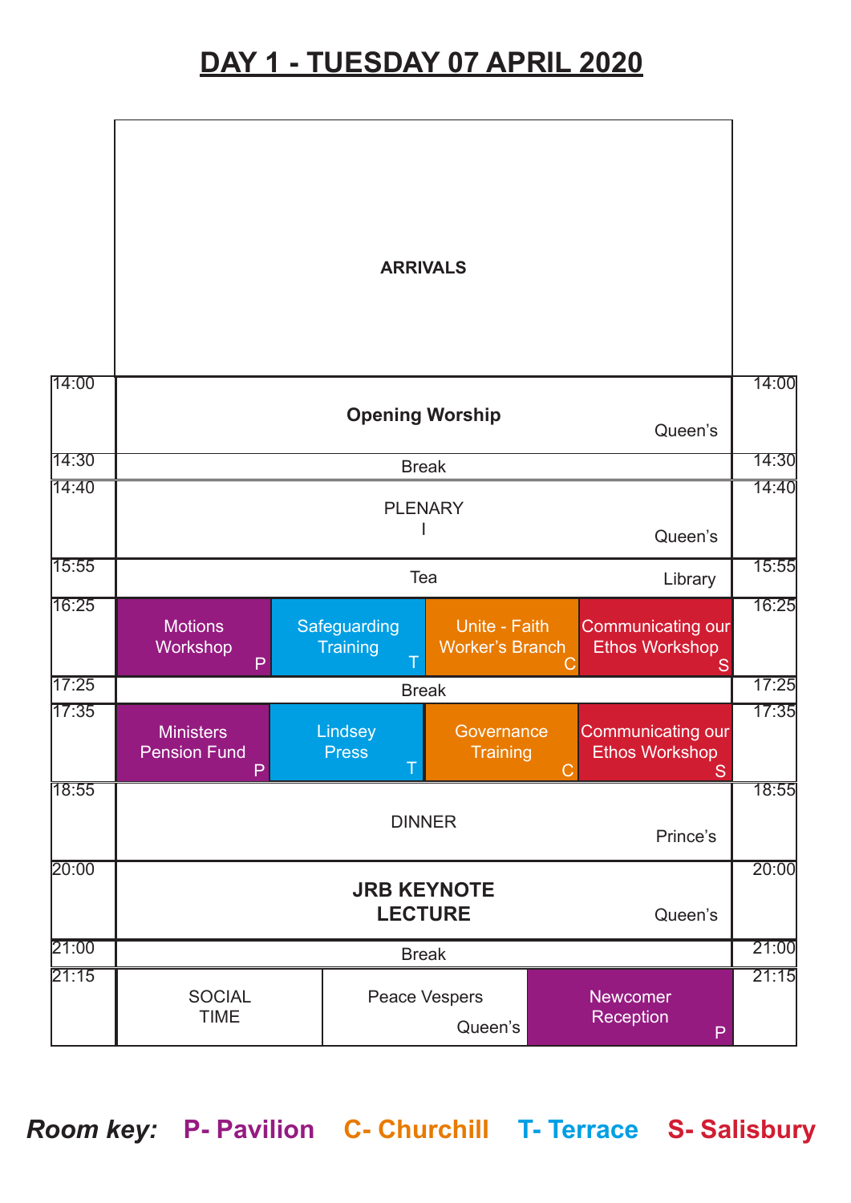## **DAY 1 - TUESDAY 07 APRIL 2020**

|       |                                                 | <b>ARRIVALS</b>                 |                                         |                                                             | 14:00              |  |
|-------|-------------------------------------------------|---------------------------------|-----------------------------------------|-------------------------------------------------------------|--------------------|--|
| 14:00 | <b>Opening Worship</b><br>Queen's               |                                 |                                         |                                                             |                    |  |
| 14:30 | <b>Break</b>                                    |                                 |                                         |                                                             |                    |  |
| 14:40 | <b>PLENARY</b>                                  |                                 |                                         |                                                             |                    |  |
|       | Queen's                                         |                                 |                                         |                                                             |                    |  |
| 15:55 | Tea<br>Library                                  |                                 |                                         |                                                             | 15:55              |  |
| 16:25 | <b>Motions</b><br>Workshop<br>P                 | Safeguarding<br><b>Training</b> | Unite - Faith<br><b>Worker's Branch</b> | <b>Communicating our</b><br><b>Ethos Workshop</b><br>S      | 16:25              |  |
| 17:25 | <b>Break</b>                                    |                                 |                                         |                                                             |                    |  |
| 17:35 | <b>Ministers</b><br><b>Pension Fund</b><br>P    | Lindsey<br><b>Press</b><br>т    | Governance<br>Training                  | <b>Communicating our</b><br><b>Ethos Workshop</b><br>S<br>С | 17:35              |  |
| 18:55 | <b>DINNER</b><br>Prince's                       |                                 |                                         |                                                             |                    |  |
| 20:00 | <b>JRB KEYNOTE</b><br><b>LECTURE</b><br>Queen's |                                 |                                         |                                                             |                    |  |
| 21:00 | <b>Break</b>                                    |                                 |                                         |                                                             | $\overline{21:00}$ |  |
| 21.15 | <b>SOCIAL</b><br>Peace Vespers<br><b>TIME</b>   |                                 | Queen's                                 | <b>Newcomer</b><br>Reception<br>P                           | 21:15              |  |

*Room key:* **P- Pavilion C- Churchill T- Terrace S- Salisbury**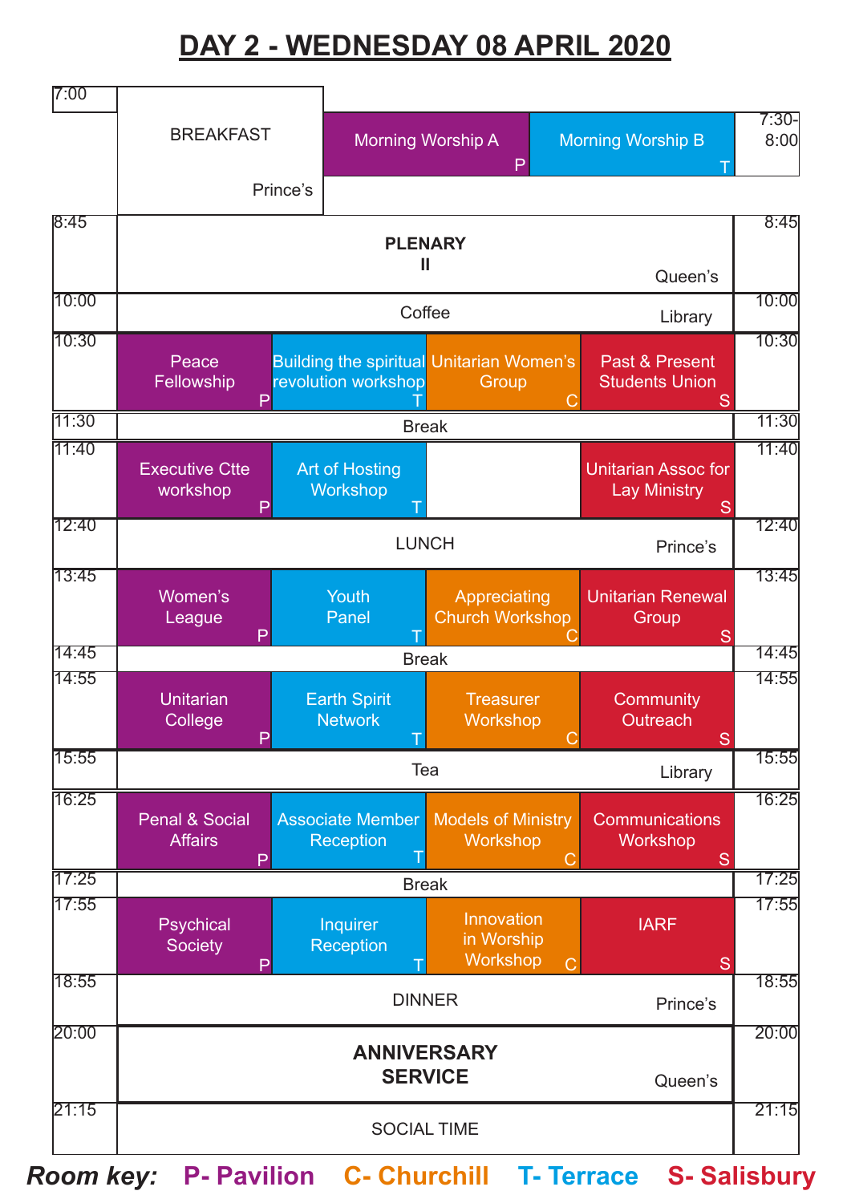# **DAY 2 - WEDNESDAY 08 APRIL 2020**



*Room key:* **P- Pavilion C- Churchill T- Terrace S- Salisbury**